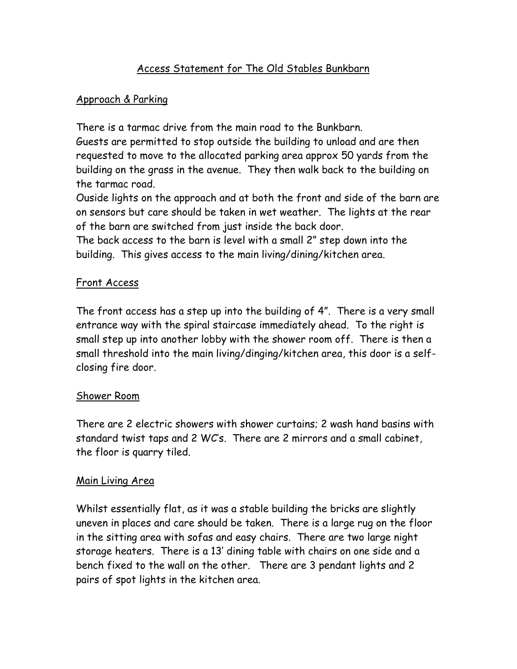# Access Statement for The Old Stables Bunkbarn

### Approach & Parking

There is a tarmac drive from the main road to the Bunkbarn.

Guests are permitted to stop outside the building to unload and are then requested to move to the allocated parking area approx 50 yards from the building on the grass in the avenue. They then walk back to the building on the tarmac road.

Ouside lights on the approach and at both the front and side of the barn are on sensors but care should be taken in wet weather. The lights at the rear of the barn are switched from just inside the back door.

The back access to the barn is level with a small 2" step down into the building. This gives access to the main living/dining/kitchen area.

### Front Access

The front access has a step up into the building of 4". There is a very small entrance way with the spiral staircase immediately ahead. To the right is small step up into another lobby with the shower room off. There is then a small threshold into the main living/dinging/kitchen area, this door is a selfclosing fire door.

### Shower Room

There are 2 electric showers with shower curtains; 2 wash hand basins with standard twist taps and 2 WC's. There are 2 mirrors and a small cabinet, the floor is quarry tiled.

#### Main Living Area

Whilst essentially flat, as it was a stable building the bricks are slightly uneven in places and care should be taken. There is a large rug on the floor in the sitting area with sofas and easy chairs. There are two large night storage heaters. There is a 13' dining table with chairs on one side and a bench fixed to the wall on the other. There are 3 pendant lights and 2 pairs of spot lights in the kitchen area.